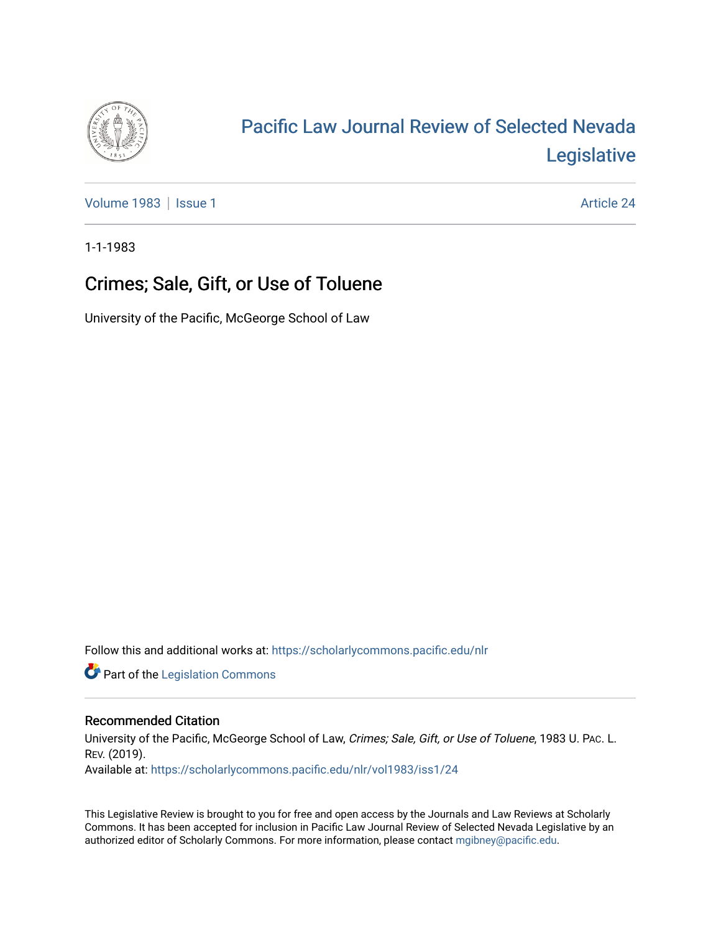

# [Pacific Law Journal Review of Selected Nevada](https://scholarlycommons.pacific.edu/nlr)  [Legislative](https://scholarlycommons.pacific.edu/nlr)

[Volume 1983](https://scholarlycommons.pacific.edu/nlr/vol1983) | [Issue 1](https://scholarlycommons.pacific.edu/nlr/vol1983/iss1) Article 24

1-1-1983

# Crimes; Sale, Gift, or Use of Toluene

University of the Pacific, McGeorge School of Law

Follow this and additional works at: [https://scholarlycommons.pacific.edu/nlr](https://scholarlycommons.pacific.edu/nlr?utm_source=scholarlycommons.pacific.edu%2Fnlr%2Fvol1983%2Fiss1%2F24&utm_medium=PDF&utm_campaign=PDFCoverPages) 

**Part of the [Legislation Commons](http://network.bepress.com/hgg/discipline/859?utm_source=scholarlycommons.pacific.edu%2Fnlr%2Fvol1983%2Fiss1%2F24&utm_medium=PDF&utm_campaign=PDFCoverPages)** 

## Recommended Citation

University of the Pacific, McGeorge School of Law, Crimes; Sale, Gift, or Use of Toluene, 1983 U. PAc. L. REV. (2019). Available at: [https://scholarlycommons.pacific.edu/nlr/vol1983/iss1/24](https://scholarlycommons.pacific.edu/nlr/vol1983/iss1/24?utm_source=scholarlycommons.pacific.edu%2Fnlr%2Fvol1983%2Fiss1%2F24&utm_medium=PDF&utm_campaign=PDFCoverPages)

This Legislative Review is brought to you for free and open access by the Journals and Law Reviews at Scholarly Commons. It has been accepted for inclusion in Pacific Law Journal Review of Selected Nevada Legislative by an authorized editor of Scholarly Commons. For more information, please contact [mgibney@pacific.edu](mailto:mgibney@pacific.edu).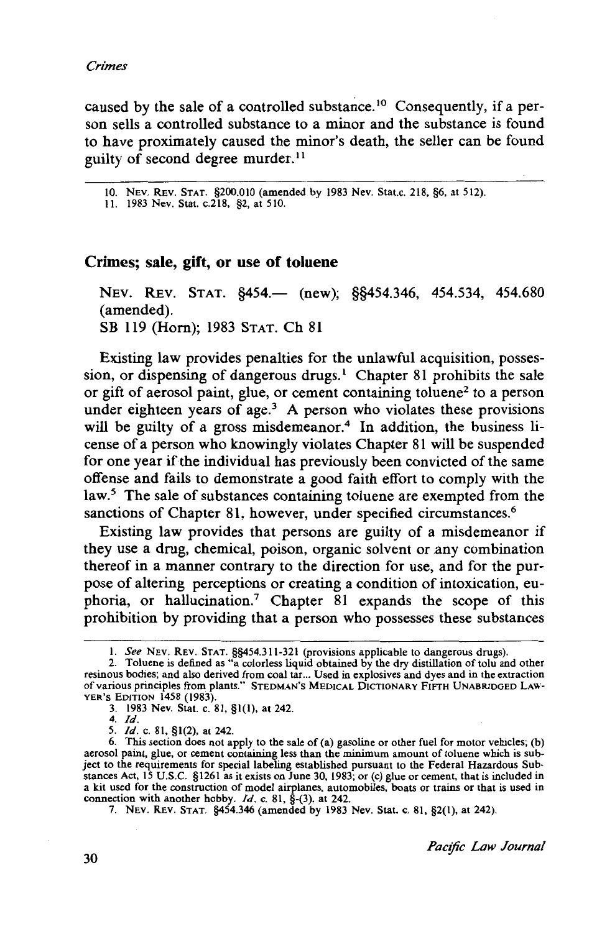caused by the sale of a controlled substance.<sup>10</sup> Consequently, if a person sells a controlled substance to a minor and the substance is found to have proximately caused the minor's death, the seller can be found guilty of second degree murder. <sup>11</sup>

10. NEv. REv. STAT. §200.010 (amended by 1983 Nev. Stat.c. 218, §6, at 512).

II. 1983 Nev. Stat. c.218, §2, at 510.

### **Crimes; sale, gift, or use of toluene**

NEV. REV. STAT. §454.— (new); §§454.346, 454.534, 454.680 (amended). SB 119 (Hom); 1983 STAT. Ch 81

Existing law provides penalties for the unlawful acquisition, possession, or dispensing of dangerous drugs.<sup>1</sup> Chapter 81 prohibits the sale or gift of aerosol paint, glue, or cement containing toluene<sup>2</sup> to a person under eighteen years of age. $3$  A person who violates these provisions will be guilty of a gross misdemeanor.<sup>4</sup> In addition, the business license of a person who knowingly violates Chapter 81 will be suspended for one year if the individual has previously been convicted of the same offense and fails to demonstrate a good faith effort to comply with the law.<sup>5</sup> The sale of substances containing toluene are exempted from the sanctions of Chapter 81, however, under specified circumstances.<sup>6</sup>

Existing law provides that persons are guilty of a misdemeanor if they use a drug, chemical, poison, organic solvent or any combination thereof in a manner contrary to the direction for use, and for the purpose of altering perceptions or creating a condition of intoxication, euphoria, or hallucination.<sup>7</sup> Chapter 81 expands the scope of this prohibition by providing that a person who possesses these substances

I. *See* NEv. REv. STAT. §§454.311-321 (provisions applicable to dangerous drugs).

<sup>2.</sup> Toluene is defined as "a colorless liquid obtained by the dry distillation of tolu and other resinous bodies; and also derived from coal tar... Used in explosives and dyes and in the extraction of various principles from plants." STEDMAN'S MEDICAL DICTIONARY FIFTH UNABRlDGED LAW-YER'S EDlTION 1458 (1983).

<sup>3. 1983</sup> Nev. Stat. c. 81, §1(1), at 242.

<sup>4.</sup> /d.

<sup>5.</sup> /d. c. 81, §1(2), at 242.

<sup>6.</sup> This section does not apply to the sale of (a) gasoline or other fuel for motor vehicles; (b) aerosol paint, glue, or cement containing less than the minimum amount of toluene which is subject to the requirements for special labeling established pursuant to the Federal Hazardous Substances Act, 15 U.S.C. §1261 as it exists on June 30, 1983; or (c) glue or cement, that is included in a kit used for the construction of model airplanes, automobiles, boats or trains or that is used in connection with another hobby.  $Id.$  c. 81,  $\hat{S}$ -(3), at 242.

<sup>7.</sup> NEv. REv. STAT. §454.346 (amended by 1983 Nev. Stat. c. 81, §2(1), at 242).